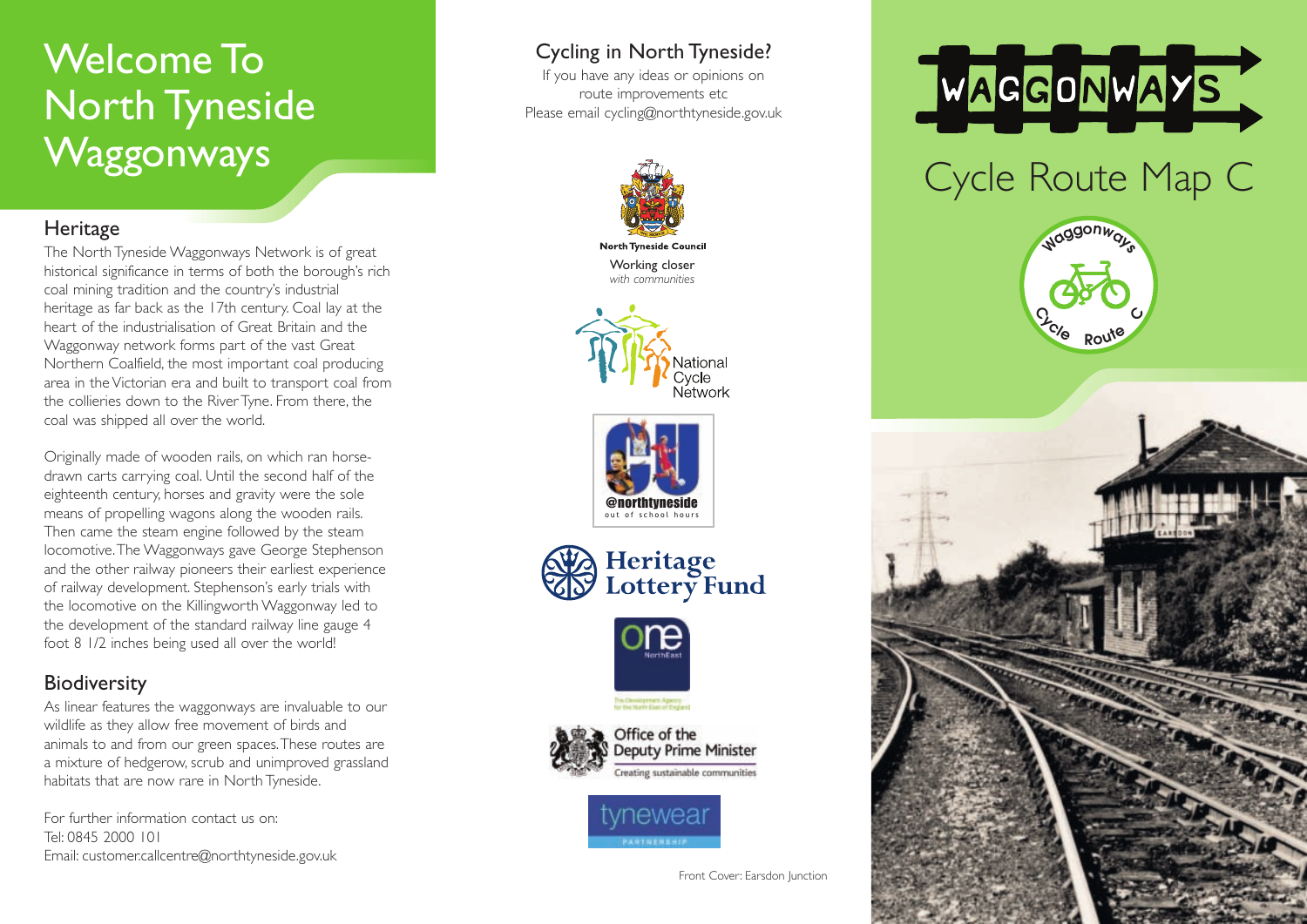## Welcome To North Tyneside **Waggonways**

#### **Heritage**

The North Tyneside Waggonways Network is of great historical significance in terms of both the borough's rich coal mining tradition and the country's industrial heritage as far back as the 17th century. Coal lay at the heart of the industrialisation of Great Britain and the Waggonway network forms part of the vast Great Northern Coalfield, the most important coal producing area in the Victorian era and built to transport coal from the collieries down to the River Tyne. From there, the coal was shipped all over the world.

Originally made of wooden rails, on which ran horsedrawn carts carrying coal. Until the second half of the eighteenth century, horses and gravity were the sole means of propelling wagons along the wooden rails. Then came the steam engine followed by the steam locomotive.The Waggonways gave George Stephenson and the other railway pioneers their earliest experience of railway development. Stephenson's early trials with the locomotive on the Killingworth Waggonway led to the development of the standard railway line gauge 4 foot 8 1/2 inches being used all over the world!

### **Biodiversity**

As linear features the waggonways are invaluable to our wildlife as they allow free movement of birds and animals to and from our green spaces.These routes are a mixture of hedgerow, scrub and unimproved grassland habitats that are now rare in North Tyneside.

For further information contact us on: Tel: 0845 2000 101 Email: customer.callcentre@northtyneside.gov.uk

### Cycling in North Tyneside?

If you have any ideas or opinions on route improvements etc Please email cycling@northtyneside.gov.uk



**North Tyneside Council** Working closer *with communities*











**Deputy Prime Minister** reating sustainable communities





# Cycle Route Map C